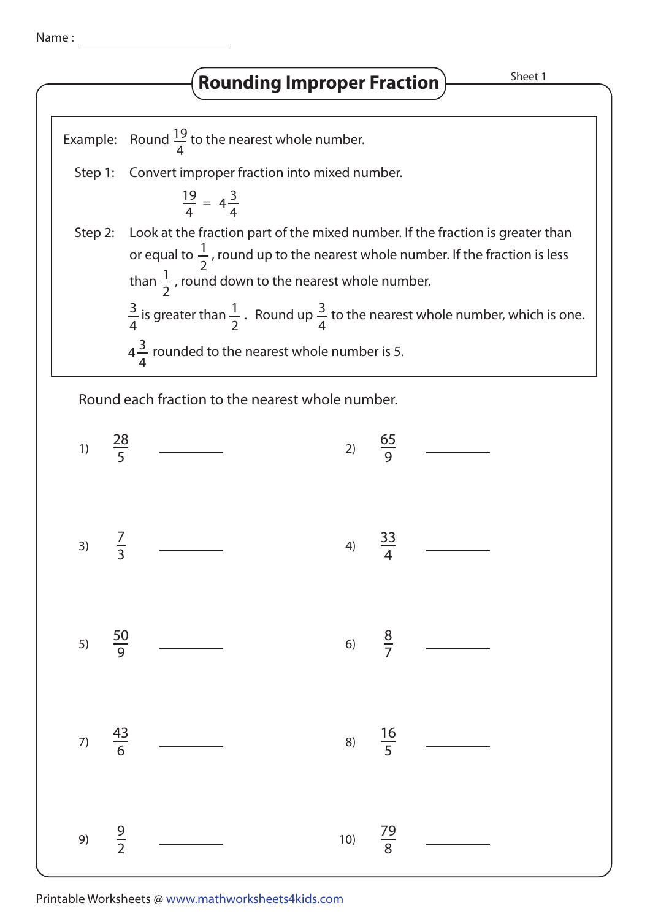Name :

## **Rounding Improper Fraction** Manuscheet 1